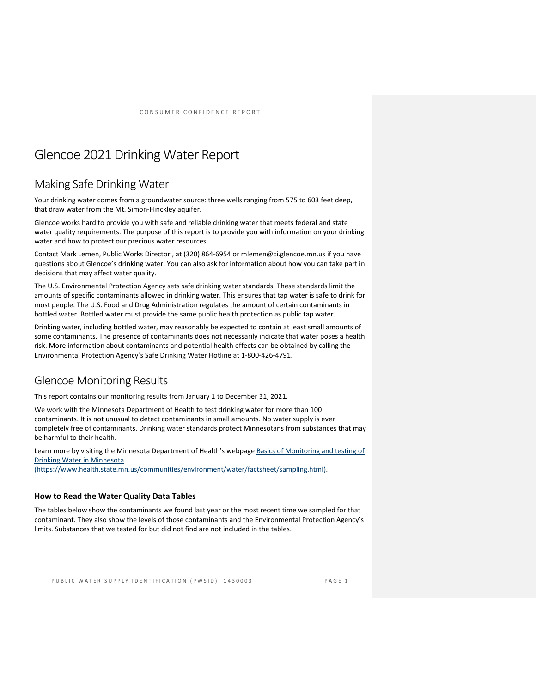# Glencoe 2021Drinking Water Report

## Making Safe Drinking Water

Your drinking water comes from a groundwater source: three wells ranging from 575 to 603 feet deep, that draw water from the Mt. Simon-Hinckley aquifer.

Glencoe works hard to provide you with safe and reliable drinking water that meets federal and state water quality requirements. The purpose of this report is to provide you with information on your drinking water and how to protect our precious water resources.

Contact Mark Lemen, Public Works Director , at (320) 864-6954 or mlemen@ci.glencoe.mn.us if you have questions about Glencoe's drinking water. You can also ask for information about how you can take part in decisions that may affect water quality.

The U.S. Environmental Protection Agency sets safe drinking water standards. These standards limit the amounts of specific contaminants allowed in drinking water. This ensures that tap water is safe to drink for most people. The U.S. Food and Drug Administration regulates the amount of certain contaminants in bottled water. Bottled water must provide the same public health protection as public tap water.

Drinking water, including bottled water, may reasonably be expected to contain at least small amounts of some contaminants. The presence of contaminants does not necessarily indicate that water poses a health risk. More information about contaminants and potential health effects can be obtained by calling the Environmental Protection Agency's Safe Drinking Water Hotline at 1-800-426-4791.

## Glencoe Monitoring Results

This report contains our monitoring results from January 1 to December 31, 2021.

We work with the Minnesota Department of Health to test drinking water for more than 100 contaminants. It is not unusual to detect contaminants in small amounts. No water supply is ever completely free of contaminants. Drinking water standards protect Minnesotans from substances that may be harmful to their health.

Learn more by visiting the Minnesota Department of Health's webpage Basics of Monitoring and testing of [Drinking Water in Minnesota](https://www.health.state.mn.us/communities/environment/water/factsheet/sampling.html)  [\(https://www.health.state.mn.us/communities/environment/water/factsheet/sampling.html\).](https://www.health.state.mn.us/communities/environment/water/factsheet/sampling.html)

## **How to Read the Water Quality Data Tables**

The tables below show the contaminants we found last year or the most recent time we sampled for that contaminant. They also show the levels of those contaminants and the Environmental Protection Agency's limits. Substances that we tested for but did not find are not included in the tables.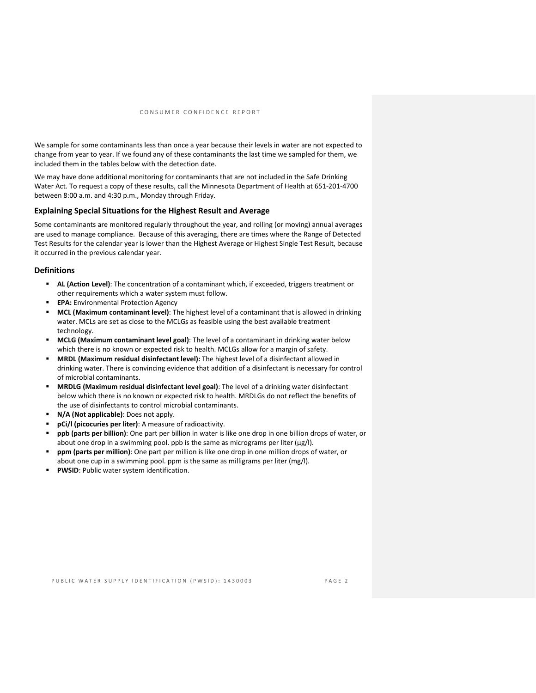We sample for some contaminants less than once a year because their levels in water are not expected to change from year to year. If we found any of these contaminants the last time we sampled for them, we included them in the tables below with the detection date.

We may have done additional monitoring for contaminants that are not included in the Safe Drinking Water Act. To request a copy of these results, call the Minnesota Department of Health at 651-201-4700 between 8:00 a.m. and 4:30 p.m., Monday through Friday.

## **Explaining Special Situations for the Highest Result and Average**

Some contaminants are monitored regularly throughout the year, and rolling (or moving) annual averages are used to manage compliance. Because of this averaging, there are times where the Range of Detected Test Results for the calendar year is lower than the Highest Average or Highest Single Test Result, because it occurred in the previous calendar year.

#### **Definitions**

- **AL (Action Level)**: The concentration of a contaminant which, if exceeded, triggers treatment or other requirements which a water system must follow.
- **EPA:** Environmental Protection Agency
- **MCL (Maximum contaminant level)**: The highest level of a contaminant that is allowed in drinking water. MCLs are set as close to the MCLGs as feasible using the best available treatment technology.
- **MCLG (Maximum contaminant level goal)**: The level of a contaminant in drinking water below which there is no known or expected risk to health. MCLGs allow for a margin of safety.
- **MRDL (Maximum residual disinfectant level):** The highest level of a disinfectant allowed in drinking water. There is convincing evidence that addition of a disinfectant is necessary for control of microbial contaminants.
- **MRDLG (Maximum residual disinfectant level goal)**: The level of a drinking water disinfectant below which there is no known or expected risk to health. MRDLGs do not reflect the benefits of the use of disinfectants to control microbial contaminants.
- **N/A (Not applicable)**: Does not apply.
- **pCi/l (picocuries per liter)**: A measure of radioactivity.
- **ppb (parts per billion)**: One part per billion in water is like one drop in one billion drops of water, or about one drop in a swimming pool. ppb is the same as micrograms per liter (μg/l).
- **ppm (parts per million)**: One part per million is like one drop in one million drops of water, or about one cup in a swimming pool. ppm is the same as milligrams per liter (mg/l).
- **PWSID**: Public water system identification.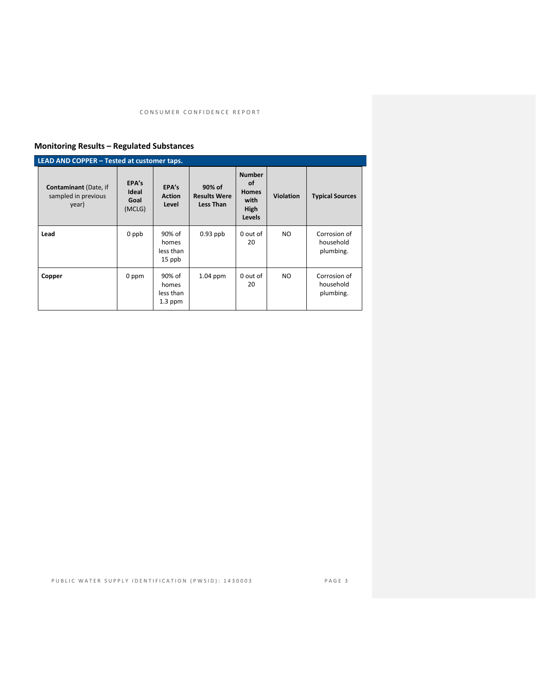## **Monitoring Results – Regulated Substances**

| LEAD AND COPPER - Tested at customer taps.                   |                                  |                                           |                                            |                                                                      |           |                                        |  |
|--------------------------------------------------------------|----------------------------------|-------------------------------------------|--------------------------------------------|----------------------------------------------------------------------|-----------|----------------------------------------|--|
| <b>Contaminant</b> (Date, if<br>sampled in previous<br>year) | EPA's<br>Ideal<br>Goal<br>(MCLG) | EPA's<br><b>Action</b><br>Level           | 90% of<br><b>Results Were</b><br>Less Than | <b>Number</b><br>οf<br><b>Homes</b><br>with<br>High<br><b>Levels</b> | Violation | <b>Typical Sources</b>                 |  |
| Lead                                                         | 0 ppb                            | 90% of<br>homes<br>less than<br>15 ppb    | $0.93$ ppb                                 | 0 out of<br>20                                                       | NO.       | Corrosion of<br>household<br>plumbing. |  |
| Copper                                                       | 0 ppm                            | 90% of<br>homes<br>less than<br>$1.3$ ppm | $1.04$ ppm                                 | 0 out of<br>20                                                       | NO.       | Corrosion of<br>household<br>plumbing. |  |

PUBLIC WATER SUPPLY IDENTIFICATION (PWSID): 1430003 PAGE 3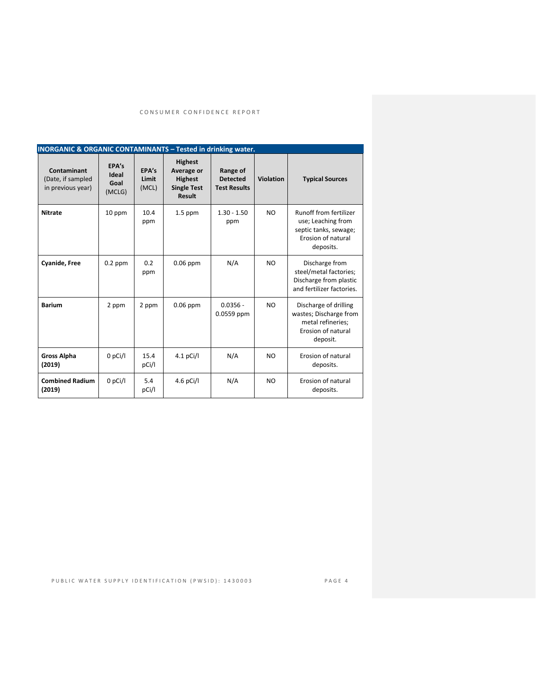| <b>INORGANIC &amp; ORGANIC CONTAMINANTS - Tested in drinking water.</b> |                                  |                         |                                                                                       |                                                    |                  |                                                                                                          |
|-------------------------------------------------------------------------|----------------------------------|-------------------------|---------------------------------------------------------------------------------------|----------------------------------------------------|------------------|----------------------------------------------------------------------------------------------------------|
| Contaminant<br>(Date, if sampled<br>in previous year)                   | FPA's<br>Ideal<br>Goal<br>(MCLG) | FPA's<br>Limit<br>(MCL) | <b>Highest</b><br>Average or<br><b>Highest</b><br><b>Single Test</b><br><b>Result</b> | Range of<br><b>Detected</b><br><b>Test Results</b> | <b>Violation</b> | <b>Typical Sources</b>                                                                                   |
| <b>Nitrate</b>                                                          | 10 ppm                           | 10.4<br>ppm             | $1.5$ ppm                                                                             | $1.30 - 1.50$<br>ppm                               | N <sub>O</sub>   | Runoff from fertilizer<br>use; Leaching from<br>septic tanks, sewage;<br>Erosion of natural<br>deposits. |
| <b>Cyanide, Free</b>                                                    | $0.2$ ppm                        | 0.2<br>ppm              | $0.06$ ppm                                                                            | N/A                                                | NO.              | Discharge from<br>steel/metal factories;<br>Discharge from plastic<br>and fertilizer factories.          |
| <b>Barium</b>                                                           | 2 ppm                            | 2 ppm                   | $0.06$ ppm                                                                            | $0.0356 -$<br>0.0559 ppm                           | N <sub>O</sub>   | Discharge of drilling<br>wastes; Discharge from<br>metal refineries;<br>Erosion of natural<br>deposit.   |
| <b>Gross Alpha</b><br>(2019)                                            | $0$ pCi/l                        | 15.4<br>pCi/l           | $4.1$ pCi/l                                                                           | N/A                                                | N <sub>O</sub>   | Erosion of natural<br>deposits.                                                                          |
| <b>Combined Radium</b><br>(2019)                                        | $0$ pCi/l                        | 5.4<br>pCi/l            | 4.6 pCi/l                                                                             | N/A                                                | N <sub>O</sub>   | Erosion of natural<br>deposits.                                                                          |

PUBLIC WATER SUPPLY IDENTIFICATION (PWSID): 1430003 PAGE 4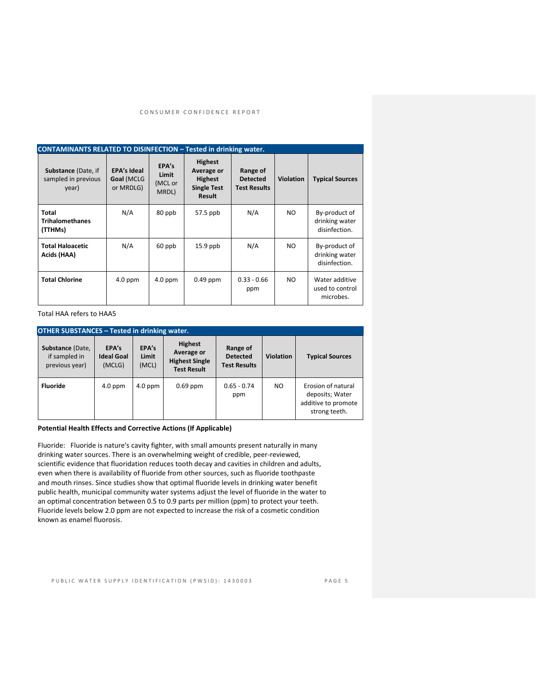| <b>CONTAMINANTS RELATED TO DISINFECTION - Tested in drinking water.</b> |                                               |                                    |                                                                                |                                                    |                  |                                                  |
|-------------------------------------------------------------------------|-----------------------------------------------|------------------------------------|--------------------------------------------------------------------------------|----------------------------------------------------|------------------|--------------------------------------------------|
| <b>Substance (Date, if</b><br>sampled in previous<br>year)              | <b>EPA's Ideal</b><br>Goal (MCLG<br>or MRDLG) | EPA's<br>Limit<br>(MCL or<br>MRDL) | <b>Highest</b><br>Average or<br><b>Highest</b><br><b>Single Test</b><br>Result | Range of<br><b>Detected</b><br><b>Test Results</b> | <b>Violation</b> | <b>Typical Sources</b>                           |
| Total<br><b>Trihalomethanes</b><br>(TTHMs)                              | N/A                                           | 80 ppb                             | 57.5 ppb                                                                       | N/A                                                | NO.              | By-product of<br>drinking water<br>disinfection. |
| <b>Total Haloacetic</b><br>Acids (HAA)                                  | N/A                                           | 60 ppb                             | $15.9$ ppb                                                                     | N/A                                                | NO.              | By-product of<br>drinking water<br>disinfection. |
| <b>Total Chlorine</b>                                                   | $4.0$ ppm                                     | $4.0$ ppm                          | $0.49$ ppm                                                                     | $0.33 - 0.66$<br>ppm                               | NO.              | Water additive<br>used to control<br>microbes.   |

Total HAA refers to HAA5

| <b>OTHER SUBSTANCES - Tested in drinking water.</b> |                                      |                         |                                                                             |                                                    |                  |                                                                               |  |
|-----------------------------------------------------|--------------------------------------|-------------------------|-----------------------------------------------------------------------------|----------------------------------------------------|------------------|-------------------------------------------------------------------------------|--|
| Substance (Date,<br>if sampled in<br>previous year) | EPA's<br><b>Ideal Goal</b><br>(MCLG) | EPA's<br>Limit<br>(MCL) | <b>Highest</b><br>Average or<br><b>Highest Single</b><br><b>Test Result</b> | Range of<br><b>Detected</b><br><b>Test Results</b> | <b>Violation</b> | <b>Typical Sources</b>                                                        |  |
| <b>Fluoride</b>                                     | $4.0$ ppm                            | $4.0$ ppm               | $0.69$ ppm                                                                  | $0.65 - 0.74$<br>ppm                               | NO.              | Erosion of natural<br>deposits; Water<br>additive to promote<br>strong teeth. |  |

#### **Potential Health Effects and Corrective Actions (If Applicable)**

Fluoride: Fluoride is nature's cavity fighter, with small amounts present naturally in many drinking water sources. There is an overwhelming weight of credible, peer-reviewed, scientific evidence that fluoridation reduces tooth decay and cavities in children and adults, even when there is availability of fluoride from other sources, such as fluoride toothpaste and mouth rinses. Since studies show that optimal fluoride levels in drinking water benefit public health, municipal community water systems adjust the level of fluoride in the water to an optimal concentration between 0.5 to 0.9 parts per million (ppm) to protect your teeth. Fluoride levels below 2.0 ppm are not expected to increase the risk of a cosmetic condition known as enamel fluorosis.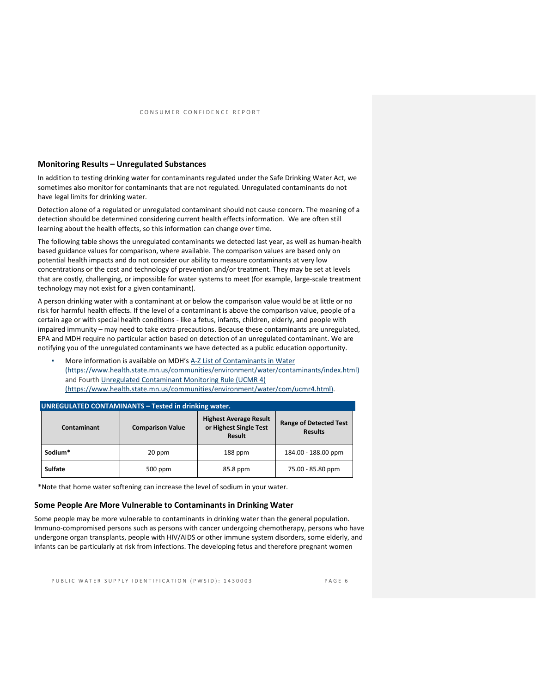#### **Monitoring Results – Unregulated Substances**

In addition to testing drinking water for contaminants regulated under the Safe Drinking Water Act, we sometimes also monitor for contaminants that are not regulated. Unregulated contaminants do not have legal limits for drinking water.

Detection alone of a regulated or unregulated contaminant should not cause concern. The meaning of a detection should be determined considering current health effects information. We are often still learning about the health effects, so this information can change over time.

The following table shows the unregulated contaminants we detected last year, as well as human-health based guidance values for comparison, where available. The comparison values are based only on potential health impacts and do not consider our ability to measure contaminants at very low concentrations or the cost and technology of prevention and/or treatment. They may be set at levels that are costly, challenging, or impossible for water systems to meet (for example, large-scale treatment technology may not exist for a given contaminant).

A person drinking water with a contaminant at or below the comparison value would be at little or no risk for harmful health effects. If the level of a contaminant is above the comparison value, people of a certain age or with special health conditions - like a fetus, infants, children, elderly, and people with impaired immunity – may need to take extra precautions. Because these contaminants are unregulated, EPA and MDH require no particular action based on detection of an unregulated contaminant. We are notifying you of the unregulated contaminants we have detected as a public education opportunity.

More information is available on MDH's A-Z List of Contaminants in Water [\(https://www.health.state.mn.us/communities/environment/water/contaminants/index.html\)](https://www.health.state.mn.us/communities/environment/water/contaminants/index.html) and Fourth [Unregulated Contaminant Monitoring Rule \(UCMR 4\)](https://www.health.state.mn.us/communities/environment/water/com/ucmr4.html)  [\(https://www.health.state.mn.us/communities/environment/water/com/ucmr4.html\).](https://www.health.state.mn.us/communities/environment/water/com/ucmr4.html)

| UNREGULATED CONTAMINANTS - Tested in drinking water. |                         |                                                                   |                                                 |  |  |  |  |
|------------------------------------------------------|-------------------------|-------------------------------------------------------------------|-------------------------------------------------|--|--|--|--|
| Contaminant                                          | <b>Comparison Value</b> | <b>Highest Average Result</b><br>or Highest Single Test<br>Result | <b>Range of Detected Test</b><br><b>Results</b> |  |  |  |  |
| Sodium*                                              | 20 ppm                  | 188 ppm                                                           | 184.00 - 188.00 ppm                             |  |  |  |  |
| Sulfate                                              | 500 ppm                 | 85.8 ppm                                                          | 75.00 - 85.80 ppm                               |  |  |  |  |

\*Note that home water softening can increase the level of sodium in your water.

#### **Some People Are More Vulnerable to Contaminants in Drinking Water**

Some people may be more vulnerable to contaminants in drinking water than the general population. Immuno-compromised persons such as persons with cancer undergoing chemotherapy, persons who have undergone organ transplants, people with HIV/AIDS or other immune system disorders, some elderly, and infants can be particularly at risk from infections. The developing fetus and therefore pregnant women

PUBLIC WATER SUPPLY IDENTIFICATION (PWSID): 1430003 PAGE 6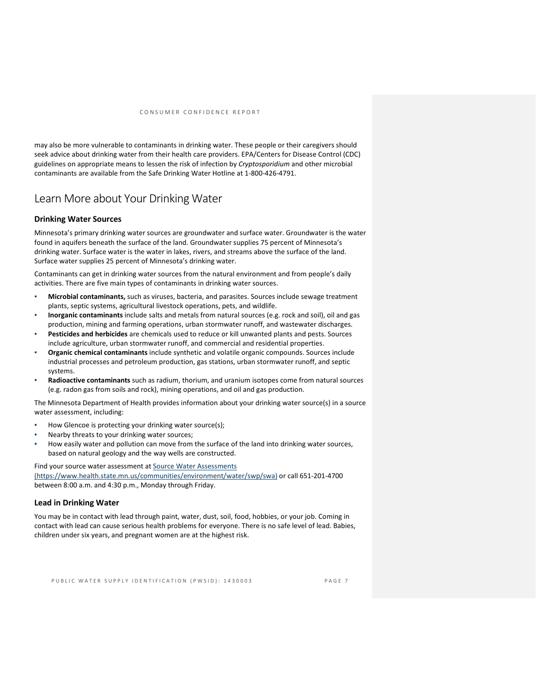may also be more vulnerable to contaminants in drinking water. These people or their caregivers should seek advice about drinking water from their health care providers. EPA/Centers for Disease Control (CDC) guidelines on appropriate means to lessen the risk of infection by *Cryptosporidium* and other microbial contaminants are available from the Safe Drinking Water Hotline at 1-800-426-4791.

## Learn More about Your Drinking Water

### **Drinking Water Sources**

Minnesota's primary drinking water sources are groundwater and surface water. Groundwater is the water found in aquifers beneath the surface of the land. Groundwater supplies 75 percent of Minnesota's drinking water. Surface water is the water in lakes, rivers, and streams above the surface of the land. Surface water supplies 25 percent of Minnesota's drinking water.

Contaminants can get in drinking water sources from the natural environment and from people's daily activities. There are five main types of contaminants in drinking water sources.

- **Microbial contaminants,** such as viruses, bacteria, and parasites. Sources include sewage treatment plants, septic systems, agricultural livestock operations, pets, and wildlife.
- **Inorganic contaminants** include salts and metals from natural sources (e.g. rock and soil), oil and gas production, mining and farming operations, urban stormwater runoff, and wastewater discharges.
- **Pesticides and herbicides** are chemicals used to reduce or kill unwanted plants and pests. Sources include agriculture, urban stormwater runoff, and commercial and residential properties.
- **Organic chemical contaminants** include synthetic and volatile organic compounds. Sources include industrial processes and petroleum production, gas stations, urban stormwater runoff, and septic systems.
- Radioactive contaminants such as radium, thorium, and uranium isotopes come from natural sources (e.g. radon gas from soils and rock), mining operations, and oil and gas production.

The Minnesota Department of Health provides information about your drinking water source(s) in a source water assessment, including:

- How Glencoe is protecting your drinking water source(s);
- Nearby threats to your drinking water sources;
- How easily water and pollution can move from the surface of the land into drinking water sources, based on natural geology and the way wells are constructed.

Find your source water assessment at Source Water Assessments

[\(https://www.health.state.mn.us/communities/environment/water/swp/swa\)](https://www.health.state.mn.us/communities/environment/water/swp/swa) or call 651-201-4700 between 8:00 a.m. and 4:30 p.m., Monday through Friday.

#### **Lead in Drinking Water**

You may be in contact with lead through paint, water, dust, soil, food, hobbies, or your job. Coming in contact with lead can cause serious health problems for everyone. There is no safe level of lead. Babies, children under six years, and pregnant women are at the highest risk.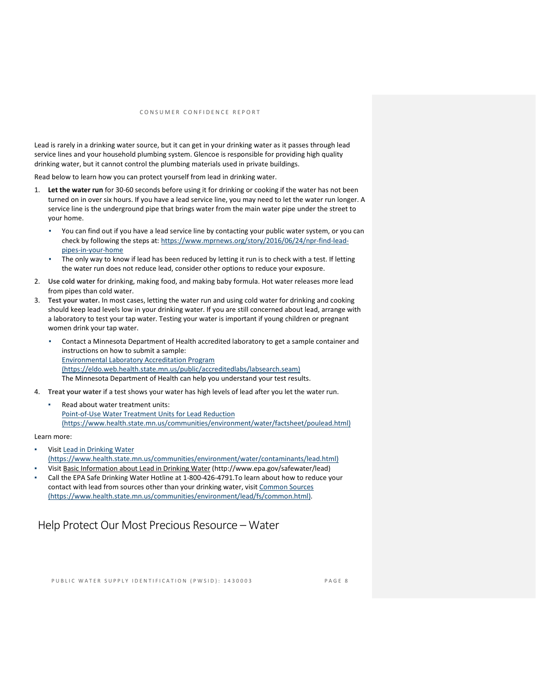Lead is rarely in a drinking water source, but it can get in your drinking water as it passes through lead service lines and your household plumbing system. Glencoe is responsible for providing high quality drinking water, but it cannot control the plumbing materials used in private buildings.

Read below to learn how you can protect yourself from lead in drinking water.

- 1. **Let the water run** for 30-60 seconds before using it for drinking or cooking if the water has not been turned on in over six hours. If you have a lead service line, you may need to let the water run longer. A service line is the underground pipe that brings water from the main water pipe under the street to your home.
	- You can find out if you have a lead service line by contacting your public water system, or you can check by following the steps at: [https://www.mprnews.org/story/2016/06/24/npr-find-lead](https://www.mprnews.org/story/2016/06/24/npr-find-lead-pipes-in-your-home)[pipes-in-your-home](https://www.mprnews.org/story/2016/06/24/npr-find-lead-pipes-in-your-home)
	- The only way to know if lead has been reduced by letting it run is to check with a test. If letting the water run does not reduce lead, consider other options to reduce your exposure.
- 2. **Use cold water** for drinking, making food, and making baby formula. Hot water releases more lead from pipes than cold water.
- 3. **Test your water.** In most cases, letting the water run and using cold water for drinking and cooking should keep lead levels low in your drinking water. If you are still concerned about lead, arrange with a laboratory to test your tap water. Testing your water is important if young children or pregnant women drink your tap water.
	- Contact a Minnesota Department of Health accredited laboratory to get a sample container and instructions on how to submit a sample: [Environmental Laboratory Accreditation Program](https://eldo.web.health.state.mn.us/public/accreditedlabs/labsearch.seam)  [\(https://eldo.web.health.state.mn.us/public/accreditedlabs/labsearch.seam\)](https://eldo.web.health.state.mn.us/public/accreditedlabs/labsearch.seam)  The Minnesota Department of Health can help you understand your test results.
- 4. **Treat your water** if a test shows your water has high levels of lead after you let the water run.
	- Read about water treatment units: [Point-of-Use Water Treatment Units for Lead Reduction](https://www.health.state.mn.us/communities/environment/water/factsheet/poulead.html)  [\(https://www.health.state.mn.us/communities/environment/water/factsheet/poulead.html\)](https://www.health.state.mn.us/communities/environment/water/factsheet/poulead.html)

#### Learn more:

- Visit Lead in Drinking Water [\(https://www.health.state.mn.us/communities/environment/water/contaminants/lead.html\)](https://www.health.state.mn.us/communities/environment/water/contaminants/lead.html)
- Visit [Basic Information about Lead in Drinking Water](http://www.epa.gov/safewater/lead) (http://www.epa.gov/safewater/lead)
- Call the EPA Safe Drinking Water Hotline at 1-800-426-4791.To learn about how to reduce your contact with lead from sources other than your drinking water, visit Common Sources [\(https://www.health.state.mn.us/communities/environment/lead/fs/common.html\).](https://www.health.state.mn.us/communities/environment/lead/fs/common.html)

## Help Protect Our Most Precious Resource – Water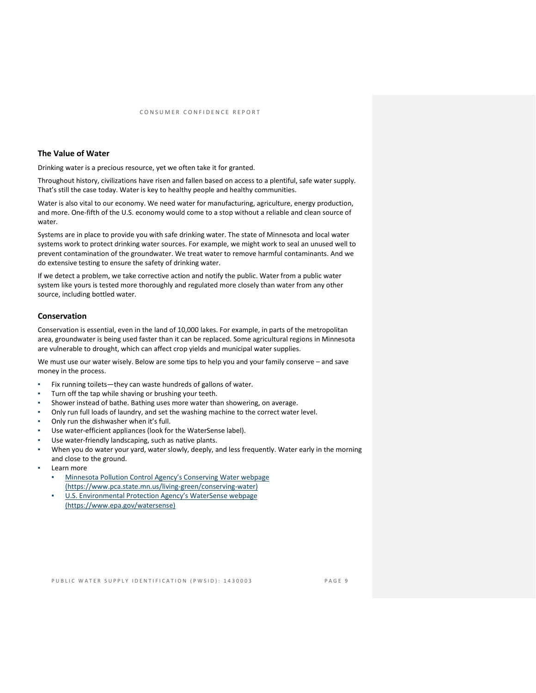## **The Value of Water**

Drinking water is a precious resource, yet we often take it for granted.

Throughout history, civilizations have risen and fallen based on access to a plentiful, safe water supply. That's still the case today. Water is key to healthy people and healthy communities.

Water is also vital to our economy. We need water for manufacturing, agriculture, energy production, and more. One-fifth of the U.S. economy would come to a stop without a reliable and clean source of water.

Systems are in place to provide you with safe drinking water. The state of Minnesota and local water systems work to protect drinking water sources. For example, we might work to seal an unused well to prevent contamination of the groundwater. We treat water to remove harmful contaminants. And we do extensive testing to ensure the safety of drinking water.

If we detect a problem, we take corrective action and notify the public. Water from a public water system like yours is tested more thoroughly and regulated more closely than water from any other source, including bottled water.

### **Conservation**

Conservation is essential, even in the land of 10,000 lakes. For example, in parts of the metropolitan area, groundwater is being used faster than it can be replaced. Some agricultural regions in Minnesota are vulnerable to drought, which can affect crop yields and municipal water supplies.

We must use our water wisely. Below are some tips to help you and your family conserve – and save money in the process.

- Fix running toilets—they can waste hundreds of gallons of water.
- Turn off the tap while shaving or brushing your teeth.
- Shower instead of bathe. Bathing uses more water than showering, on average.
- Only run full loads of laundry, and set the washing machine to the correct water level.
- Only run the dishwasher when it's full.
- Use water-efficient appliances (look for the WaterSense label).
- Use water-friendly landscaping, such as native plants.
- When you do water your yard, water slowly, deeply, and less frequently. Water early in the morning and close to the ground.
- Learn more
	- Minnesota Pollution Control Agency's Conserving Water webpage [\(https://www.pca.state.mn.us/living-green/conserving-water\)](https://www.pca.state.mn.us/living-green/conserving-water)
	- U.S. Environmental Protection Agency's WaterSense webpage [\(https://www.epa.gov/watersense\)](https://www.epa.gov/watersense)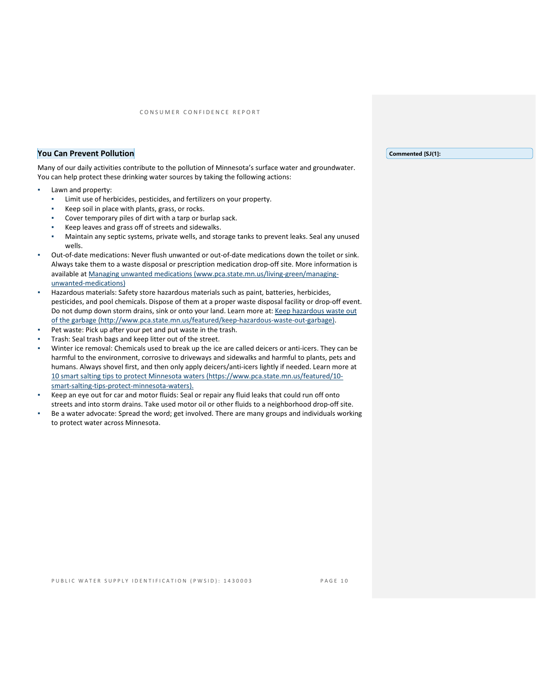### **You Can Prevent Pollution**

Many of our daily activities contribute to the pollution of Minnesota's surface water and groundwater. You can help protect these drinking water sources by taking the following actions:

- Lawn and property:
	- Limit use of herbicides, pesticides, and fertilizers on your property.
	- Keep soil in place with plants, grass, or rocks.
	- Cover temporary piles of dirt with a tarp or burlap sack.
	- Keep leaves and grass off of streets and sidewalks.
	- Maintain any septic systems, private wells, and storage tanks to prevent leaks. Seal any unused wells.
- Out-of-date medications: Never flush unwanted or out-of-date medications down the toilet or sink. Always take them to a waste disposal or prescription medication drop-off site. More information is available a[t Managing unwanted medications \(www.pca.state.mn.us/living-green/managing](http://www.pca.state.mn.us/living-green/managing-unwanted-medications)[unwanted-medications\)](http://www.pca.state.mn.us/living-green/managing-unwanted-medications)
- Hazardous materials: Safety store hazardous materials such as paint, batteries, herbicides, pesticides, and pool chemicals. Dispose of them at a proper waste disposal facility or drop-off event. Do not dump down storm drains, sink or onto your land. Learn more at: Keep hazardous waste out [of the garbage \(http://www.pca.state.mn.us/featured/keep-hazardous-waste-out-garbage\).](http://www.pca.state.mn.us/featured/keep-hazardous-waste-out-garbage)
- Pet waste: Pick up after your pet and put waste in the trash.
- Trash: Seal trash bags and keep litter out of the street.
- Winter ice removal: Chemicals used to break up the ice are called deicers or anti-icers. They can be harmful to the environment, corrosive to driveways and sidewalks and harmful to plants, pets and humans. Always shovel first, and then only apply deicers/anti-icers lightly if needed. Learn more at [10 smart salting tips to protect Minnesota waters \(https://www.pca.state.mn.us/featured/10](https://www.pca.state.mn.us/featured/10-smart-salting-tips-protect-minnesota-waters) [smart-salting-tips-protect-minnesota-waters\).](https://www.pca.state.mn.us/featured/10-smart-salting-tips-protect-minnesota-waters)
- Keep an eye out for car and motor fluids: Seal or repair any fluid leaks that could run off onto streets and into storm drains. Take used motor oil or other fluids to a neighborhood drop-off site.
- Be a water advocate: Spread the word; get involved. There are many groups and individuals working to protect water across Minnesota.

**Commented [SJ(1]:**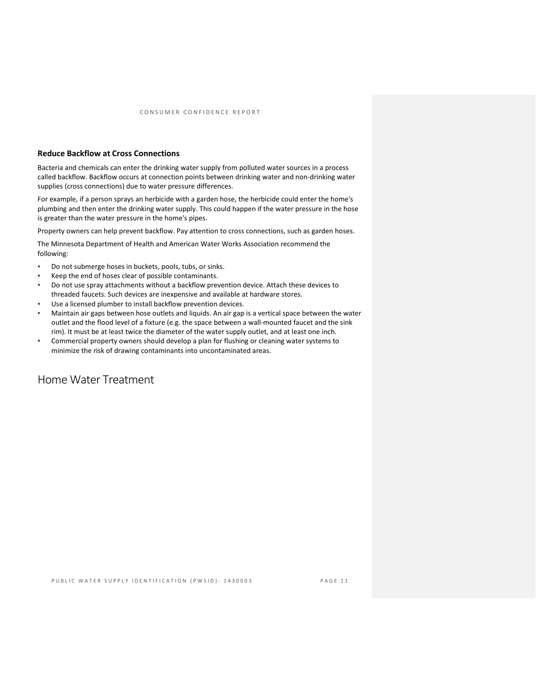## **Reduce Backflow at Cross Connections**

Bacteria and chemicals can enter the drinking water supply from polluted water sources in a process called backflow. Backflow occurs at connection points between drinking water and non-drinking water supplies (cross connections) due to water pressure differences.

For example, if a person sprays an herbicide with a garden hose, the herbicide could enter the home's plumbing and then enter the drinking water supply. This could happen if the water pressure in the hose is greater than the water pressure in the home's pipes.

Property owners can help prevent backflow. Pay attention to cross connections, such as garden hoses.

The Minnesota Department of Health and American Water Works Association recommend the following:

- Do not submerge hoses in buckets, pools, tubs, or sinks.
- Keep the end of hoses clear of possible contaminants.
- Do not use spray attachments without a backflow prevention device. Attach these devices to threaded faucets. Such devices are inexpensive and available at hardware stores.
- Use a licensed plumber to install backflow prevention devices.
- Maintain air gaps between hose outlets and liquids. An air gap is a vertical space between the water outlet and the flood level of a fixture (e.g. the space between a wall-mounted faucet and the sink rim). It must be at least twice the diameter of the water supply outlet, and at least one inch.
- Commercial property owners should develop a plan for flushing or cleaning water systems to minimize the risk of drawing contaminants into uncontaminated areas.

## Home Water Treatment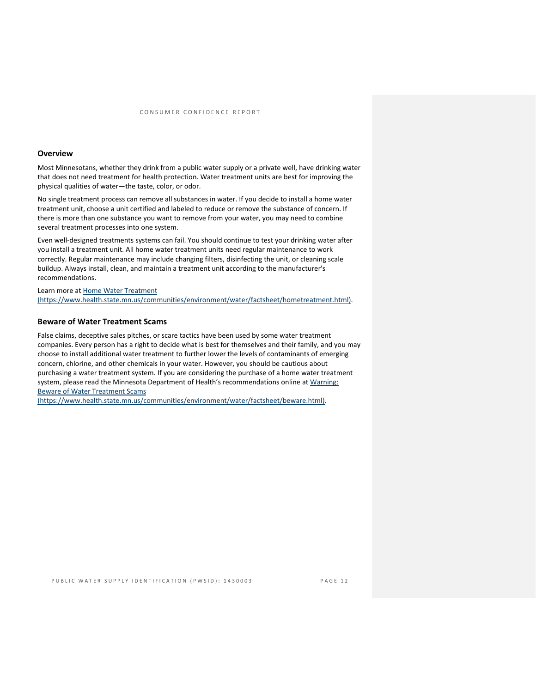### **Overview**

Most Minnesotans, whether they drink from a public water supply or a private well, have drinking water that does not need treatment for health protection. Water treatment units are best for improving the physical qualities of water—the taste, color, or odor.

No single treatment process can remove all substances in water. If you decide to install a home water treatment unit, choose a unit certified and labeled to reduce or remove the substance of concern. If there is more than one substance you want to remove from your water, you may need to combine several treatment processes into one system.

Even well-designed treatments systems can fail. You should continue to test your drinking water after you install a treatment unit. All home water treatment units need regular maintenance to work correctly. Regular maintenance may include changing filters, disinfecting the unit, or cleaning scale buildup. Always install, clean, and maintain a treatment unit according to the manufacturer's recommendations.

Learn more at [Home Water Treatment](https://www.health.state.mn.us/communities/environment/water/factsheet/hometreatment.html)  [\(https://www.health.state.mn.us/communities/environment/water/factsheet/hometreatment.html\).](https://www.health.state.mn.us/communities/environment/water/factsheet/hometreatment.html)

#### **Beware of Water Treatment Scams**

False claims, deceptive sales pitches, or scare tactics have been used by some water treatment companies. Every person has a right to decide what is best for themselves and their family, and you may choose to install additional water treatment to further lower the levels of contaminants of emerging concern, chlorine, and other chemicals in your water. However, you should be cautious about purchasing a water treatment system. If you are considering the purchase of a home water treatment system, please read the Minnesota Department of Health's recommendations online at Warning: [Beware of Water Treatment Scams](https://www.health.state.mn.us/communities/environment/water/factsheet/beware.html) 

[\(https://www.health.state.mn.us/communities/environment/water/factsheet/beware.html\).](https://www.health.state.mn.us/communities/environment/water/factsheet/beware.html)